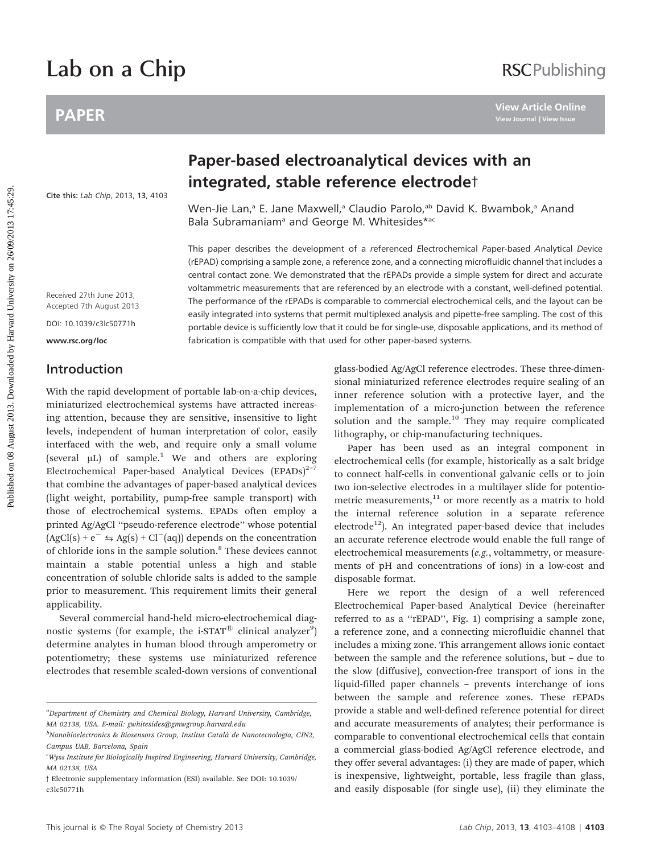# Lab on a Chip

# PAPER

[Cite this:](http://dx.doi.org/10.1039/c3lc50771h) Lab Chip, 2013, 13, 4103

# **RSCPublishing**

# Paper-based electroanalytical devices with an integrated, stable reference electrodet

Wen-Jie Lan,<sup>a</sup> E. Jane Maxwell,<sup>a</sup> Claudio Parolo,<sup>ab</sup> David K. Bwambok,<sup>a</sup> Anand Bala Subramaniam<sup>a</sup> and George M. Whitesides\*ac

This paper describes the development of a referenced Electrochemical Paper-based Analytical Device (rEPAD) comprising a sample zone, a reference zone, and a connecting microfluidic channel that includes a central contact zone. We demonstrated that the rEPADs provide a simple system for direct and accurate voltammetric measurements that are referenced by an electrode with a constant, well-defined potential. The performance of the rEPADs is comparable to commercial electrochemical cells, and the layout can be easily integrated into systems that permit multiplexed analysis and pipette-free sampling. The cost of this portable device is sufficiently low that it could be for single-use, disposable applications, and its method of fabrication is compatible with that used for other paper-based systems. **PAPER**<br> **Paper-based electroanalytical devices with an integrated, stable reference electrodet by the maximum integrated, stable reference electrodet By the Marka University of the University of the University of the Univ** 

Received 27th June 2013, Accepted 7th August 2013

DOI: 10.1039/c3lc50771h

www.rsc.org/loc

## Introduction

With the rapid development of portable lab-on-a-chip devices, miniaturized electrochemical systems have attracted increasing attention, because they are sensitive, insensitive to light levels, independent of human interpretation of color, easily interfaced with the web, and require only a small volume (several  $\mu$ L) of sample.<sup>1</sup> We and others are exploring Electrochemical Paper-based Analytical Devices (EPADs)<sup>2-7</sup> that combine the advantages of paper-based analytical devices (light weight, portability, pump-free sample transport) with those of electrochemical systems. EPADs often employ a printed Ag/AgCl ''pseudo-reference electrode'' whose potential  $(AgCl(s) + e^- \le Ag(s) + Cl^-(aq))$  depends on the concentration of chloride ions in the sample solution.<sup>8</sup> These devices cannot maintain a stable potential unless a high and stable concentration of soluble chloride salts is added to the sample prior to measurement. This requirement limits their general applicability.

Several commercial hand-held micro-electrochemical diagnostic systems (for example, the i-STAT<sup>®</sup> clinical analyzer<sup>9</sup>) determine analytes in human blood through amperometry or potentiometry; these systems use miniaturized reference electrodes that resemble scaled-down versions of conventional glass-bodied Ag/AgCl reference electrodes. These three-dimensional miniaturized reference electrodes require sealing of an inner reference solution with a protective layer, and the implementation of a micro-junction between the reference solution and the sample.<sup>10</sup> They may require complicated lithography, or chip-manufacturing techniques.

Paper has been used as an integral component in electrochemical cells (for example, historically as a salt bridge to connect half-cells in conventional galvanic cells or to join two ion-selective electrodes in a multilayer slide for potentiometric measurements, $11$  or more recently as a matrix to hold the internal reference solution in a separate reference  $electrode<sup>12</sup>$ ). An integrated paper-based device that includes an accurate reference electrode would enable the full range of electrochemical measurements (e.g., voltammetry, or measurements of pH and concentrations of ions) in a low-cost and disposable format.

Here we report the design of a well referenced Electrochemical Paper-based Analytical Device (hereinafter referred to as a ''rEPAD'', Fig. 1) comprising a sample zone, a reference zone, and a connecting microfluidic channel that includes a mixing zone. This arrangement allows ionic contact between the sample and the reference solutions, but – due to the slow (diffusive), convection-free transport of ions in the liquid-filled paper channels – prevents interchange of ions between the sample and reference zones. These rEPADs provide a stable and well-defined reference potential for direct and accurate measurements of analytes; their performance is comparable to conventional electrochemical cells that contain a commercial glass-bodied Ag/AgCl reference electrode, and they offer several advantages: (i) they are made of paper, which is inexpensive, lightweight, portable, less fragile than glass, and easily disposable (for single use), (ii) they eliminate the

<sup>&</sup>lt;sup>a</sup>Department of Chemistry and Chemical Biology, Harvard University, Cambridge, MA 02138, USA. E-mail: gwhitesides@gmwgroup.harvard.edu

<sup>&</sup>lt;sup>b</sup>Nanobioelectronics & Biosensors Group, Institut Català de Nanotecnologia, CIN2, Campus UAB, Barcelona, Spain

<sup>&</sup>lt;sup>c</sup>Wyss Institute for Biologically Inspired Engineering, Harvard University, Cambridge, MA 02138, USA

<sup>3</sup> Electronic supplementary information (ESI) available. See DOI: 10.1039/ c3lc50771h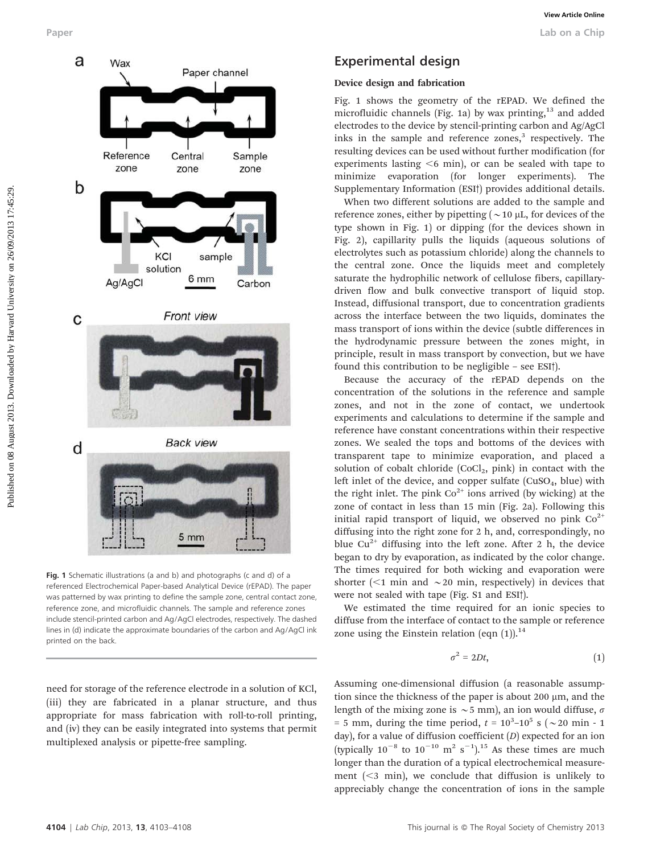

Fig. 1 Schematic illustrations (a and b) and photographs (c and d) of a referenced Electrochemical Paper-based Analytical Device (rEPAD). The paper was patterned by wax printing to define the sample zone, central contact zone, reference zone, and microfluidic channels. The sample and reference zones include stencil-printed carbon and Ag/AgCl electrodes, respectively. The dashed lines in (d) indicate the approximate boundaries of the carbon and Ag/AgCl ink printed on the back.

need for storage of the reference electrode in a solution of KCl, (iii) they are fabricated in a planar structure, and thus appropriate for mass fabrication with roll-to-roll printing, and (iv) they can be easily integrated into systems that permit multiplexed analysis or pipette-free sampling.

## Experimental design

#### Device design and fabrication

Fig. 1 shows the geometry of the rEPAD. We defined the microfluidic channels (Fig. 1a) by wax printing,<sup>13</sup> and added electrodes to the device by stencil-printing carbon and Ag/AgCl inks in the sample and reference zones, $3$  respectively. The resulting devices can be used without further modification (for experiments lasting  $<6$  min), or can be sealed with tape to minimize evaporation (for longer experiments). The Supplementary Information (ESI<sup>†</sup>) provides additional details.

When two different solutions are added to the sample and reference zones, either by pipetting ( $\sim$  10  $\mu$ L, for devices of the type shown in Fig. 1) or dipping (for the devices shown in Fig. 2), capillarity pulls the liquids (aqueous solutions of electrolytes such as potassium chloride) along the channels to the central zone. Once the liquids meet and completely saturate the hydrophilic network of cellulose fibers, capillarydriven flow and bulk convective transport of liquid stop. Instead, diffusional transport, due to concentration gradients across the interface between the two liquids, dominates the mass transport of ions within the device (subtle differences in the hydrodynamic pressure between the zones might, in principle, result in mass transport by convection, but we have found this contribution to be negligible  $-$  see ESI $\dagger$ ).

Because the accuracy of the rEPAD depends on the concentration of the solutions in the reference and sample zones, and not in the zone of contact, we undertook experiments and calculations to determine if the sample and reference have constant concentrations within their respective zones. We sealed the tops and bottoms of the devices with transparent tape to minimize evaporation, and placed a solution of cobalt chloride  $(CoCl<sub>2</sub>, pink)$  in contact with the left inlet of the device, and copper sulfate  $(CuSO<sub>4</sub>, blue)$  with the right inlet. The pink  $Co^{2+}$  ions arrived (by wicking) at the zone of contact in less than 15 min (Fig. 2a). Following this initial rapid transport of liquid, we observed no pink  $Co^{2+}$ diffusing into the right zone for 2 h, and, correspondingly, no blue  $Cu^{2+}$  diffusing into the left zone. After 2 h, the device began to dry by evaporation, as indicated by the color change. The times required for both wicking and evaporation were shorter ( $\leq$ 1 min and  $\sim$ 20 min, respectively) in devices that were not sealed with tape (Fig. S1 and ESI<sup>†</sup>).

We estimated the time required for an ionic species to diffuse from the interface of contact to the sample or reference zone using the Einstein relation (eqn  $(1)$ ).<sup>14</sup>

$$
\sigma^2 = 2Dt,\tag{1}
$$

Assuming one-dimensional diffusion (a reasonable assumption since the thickness of the paper is about 200  $\mu$ m, and the length of the mixing zone is  $\sim$  5 mm), an ion would diffuse,  $\sigma$ = 5 mm, during the time period,  $t = 10^3 - 10^5$  s ( $\sim$  20 min - 1 day), for a value of diffusion coefficient (D) expected for an ion (typically  $10^{-8}$  to  $10^{-10}$  m<sup>2</sup> s<sup>-1</sup>).<sup>15</sup> As these times are much longer than the duration of a typical electrochemical measurement  $( $3$  min)$ , we conclude that diffusion is unlikely to appreciably change the concentration of ions in the sample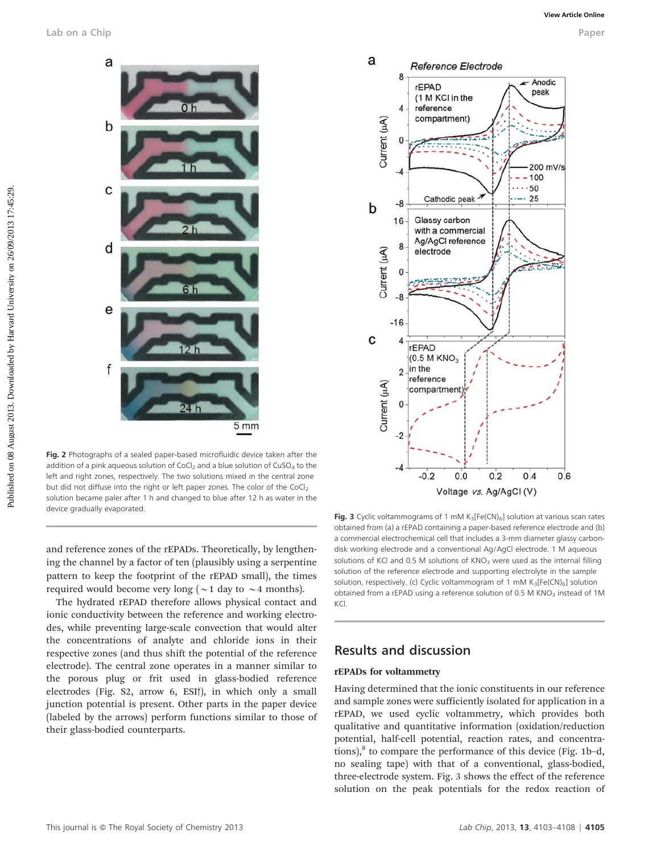

Fig. 2 Photographs of a sealed paper-based microfluidic device taken after the addition of a pink aqueous solution of CoCl<sub>2</sub> and a blue solution of CuSO<sub>4</sub> to the left and right zones, respectively. The two solutions mixed in the central zone but did not diffuse into the right or left paper zones. The color of the CoCl<sub>2</sub> solution became paler after 1 h and changed to blue after 12 h as water in the device gradually evaporated.

and reference zones of the rEPADs. Theoretically, by lengthening the channel by a factor of ten (plausibly using a serpentine pattern to keep the footprint of the rEPAD small), the times required would become very long ( $\sim$ 1 day to  $\sim$ 4 months).

The hydrated rEPAD therefore allows physical contact and ionic conductivity between the reference and working electrodes, while preventing large-scale convection that would alter the concentrations of analyte and chloride ions in their respective zones (and thus shift the potential of the reference electrode). The central zone operates in a manner similar to the porous plug or frit used in glass-bodied reference electrodes (Fig.  $S2$ , arrow 6, ESI<sup>†</sup>), in which only a small junction potential is present. Other parts in the paper device (labeled by the arrows) perform functions similar to those of their glass-bodied counterparts.



Fig. 3 Cyclic voltammograms of 1 mM  $K_3[Fe(CN)_6]$  solution at various scan rates obtained from (a) a rEPAD containing a paper-based reference electrode and (b) a commercial electrochemical cell that includes a 3-mm diameter glassy carbondisk working electrode and a conventional Ag/AgCl electrode. 1 M aqueous solutions of KCl and 0.5 M solutions of  $KNO<sub>3</sub>$  were used as the internal filling solution of the reference electrode and supporting electrolyte in the sample solution, respectively. (c) Cyclic voltammogram of 1 mM  $K_3[Fe(CN)_6]$  solution obtained from a rEPAD using a reference solution of 0.5 M  $KNO<sub>3</sub>$  instead of 1M KCl.

#### Results and discussion

#### rEPADs for voltammetry

Having determined that the ionic constituents in our reference and sample zones were sufficiently isolated for application in a rEPAD, we used cyclic voltammetry, which provides both qualitative and quantitative information (oxidation/reduction potential, half-cell potential, reaction rates, and concentrations), $^{8}$  to compare the performance of this device (Fig. 1b-d, no sealing tape) with that of a conventional, glass-bodied, three-electrode system. Fig. 3 shows the effect of the reference solution on the peak potentials for the redox reaction of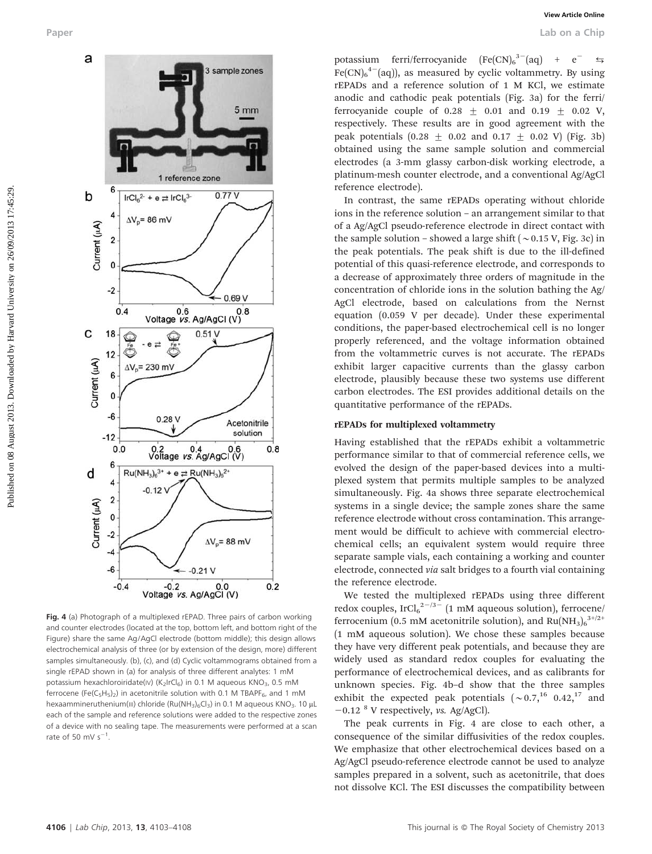

Fig. 4 (a) Photograph of a multiplexed rEPAD. Three pairs of carbon working and counter electrodes (located at the top, bottom left, and bottom right of the Figure) share the same Ag/AgCl electrode (bottom middle); this design allows electrochemical analysis of three (or by extension of the design, more) different samples simultaneously. (b), (c), and (d) Cyclic voltammograms obtained from a single rEPAD shown in (a) for analysis of three different analytes: 1 mM potassium hexachloroiridate(IV) (K<sub>2</sub>IrCl<sub>6</sub>) in 0.1 M aqueous KNO<sub>3</sub>, 0.5 mM ferrocene (Fe(C<sub>5</sub>H<sub>5</sub>)<sub>2</sub>) in acetonitrile solution with 0.1 M TBAPF<sub>6</sub>, and 1 mM hexaammineruthenium(III) chloride (Ru(NH<sub>3</sub>)<sub>6</sub>Cl<sub>3</sub>) in 0.1 M aqueous KNO<sub>3</sub>. 10 µL each of the sample and reference solutions were added to the respective zones of a device with no sealing tape. The measurements were performed at a scan rate of 50 mV  $s^{-1}$ .

potassium ferri/ferrocyanide  $[Fe(CN)_6^{3-}(aq)]$  $+$   $e^ Fe(CN)_{6}^{4-}(aq)$ ), as measured by cyclic voltammetry. By using rEPADs and a reference solution of 1 M KCl, we estimate anodic and cathodic peak potentials (Fig. 3a) for the ferri/ ferrocyanide couple of  $0.28 \pm 0.01$  and  $0.19 \pm 0.02$  V, respectively. These results are in good agreement with the peak potentials  $(0.28 \pm 0.02 \text{ and } 0.17 \pm 0.02 \text{ V})$  (Fig. 3b) obtained using the same sample solution and commercial electrodes (a 3-mm glassy carbon-disk working electrode, a platinum-mesh counter electrode, and a conventional Ag/AgCl reference electrode).

In contrast, the same rEPADs operating without chloride ions in the reference solution – an arrangement similar to that of a Ag/AgCl pseudo-reference electrode in direct contact with the sample solution – showed a large shift  $(\sim 0.15 \text{ V}, \text{Fig. 3c})$  in the peak potentials. The peak shift is due to the ill-defined potential of this quasi-reference electrode, and corresponds to a decrease of approximately three orders of magnitude in the concentration of chloride ions in the solution bathing the Ag/ AgCl electrode, based on calculations from the Nernst equation (0.059 V per decade). Under these experimental conditions, the paper-based electrochemical cell is no longer properly referenced, and the voltage information obtained from the voltammetric curves is not accurate. The rEPADs exhibit larger capacitive currents than the glassy carbon electrode, plausibly because these two systems use different carbon electrodes. The ESI provides additional details on the quantitative performance of the rEPADs.

#### rEPADs for multiplexed voltammetry

Having established that the rEPADs exhibit a voltammetric performance similar to that of commercial reference cells, we evolved the design of the paper-based devices into a multiplexed system that permits multiple samples to be analyzed simultaneously. Fig. 4a shows three separate electrochemical systems in a single device; the sample zones share the same reference electrode without cross contamination. This arrangement would be difficult to achieve with commercial electrochemical cells; an equivalent system would require three separate sample vials, each containing a working and counter electrode, connected via salt bridges to a fourth vial containing the reference electrode.

We tested the multiplexed rEPADs using three different redox couples,  $\text{IrCl}_6^2$ <sup>2-/3-</sup> (1 mM aqueous solution), ferrocene/ ferrocenium (0.5 mM acetonitrile solution), and  $Ru(NH_3)_6^{3+/2+}$ (1 mM aqueous solution). We chose these samples because they have very different peak potentials, and because they are widely used as standard redox couples for evaluating the performance of electrochemical devices, and as calibrants for unknown species. Fig. 4b–d show that the three samples exhibit the expected peak potentials  $({\sim}0.7,^{16}0.42,^{17}$  and  $-0.12$  <sup>8</sup> V respectively, *vs.* Ag/AgCl).

The peak currents in Fig. 4 are close to each other, a consequence of the similar diffusivities of the redox couples. We emphasize that other electrochemical devices based on a Ag/AgCl pseudo-reference electrode cannot be used to analyze samples prepared in a solvent, such as acetonitrile, that does not dissolve KCl. The ESI discusses the compatibility between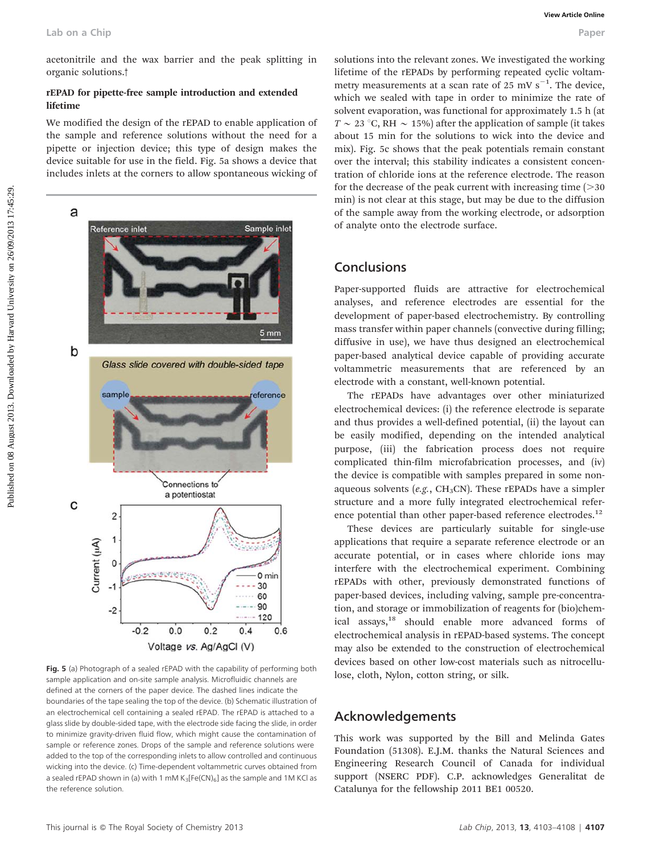acetonitrile and the wax barrier and the peak splitting in organic solutions.<sup>†</sup>

#### rEPAD for pipette-free sample introduction and extended lifetime

We modified the design of the rEPAD to enable application of the sample and reference solutions without the need for a pipette or injection device; this type of design makes the device suitable for use in the field. Fig. 5a shows a device that includes inlets at the corners to allow spontaneous wicking of



Fig. 5 (a) Photograph of a sealed rEPAD with the capability of performing both sample application and on-site sample analysis. Microfluidic channels are defined at the corners of the paper device. The dashed lines indicate the boundaries of the tape sealing the top of the device. (b) Schematic illustration of an electrochemical cell containing a sealed rEPAD. The rEPAD is attached to a glass slide by double-sided tape, with the electrode side facing the slide, in order to minimize gravity-driven fluid flow, which might cause the contamination of sample or reference zones. Drops of the sample and reference solutions were added to the top of the corresponding inlets to allow controlled and continuous wicking into the device. (c) Time-dependent voltammetric curves obtained from a sealed rEPAD shown in (a) with 1 mM  $K_3[Fe(CN)_6]$  as the sample and 1M KCl as the reference solution.

solutions into the relevant zones. We investigated the working lifetime of the rEPADs by performing repeated cyclic voltammetry measurements at a scan rate of  $25 \text{ mV s}^{-1}$ . The device, which we sealed with tape in order to minimize the rate of solvent evaporation, was functional for approximately 1.5 h (at  $T \sim 23$  °C, RH  $\sim 15\%$ ) after the application of sample (it takes about 15 min for the solutions to wick into the device and mix). Fig. 5c shows that the peak potentials remain constant over the interval; this stability indicates a consistent concentration of chloride ions at the reference electrode. The reason for the decrease of the peak current with increasing time  $(>=$ 30 min) is not clear at this stage, but may be due to the diffusion of the sample away from the working electrode, or adsorption of analyte onto the electrode surface.

### Conclusions

Paper-supported fluids are attractive for electrochemical analyses, and reference electrodes are essential for the development of paper-based electrochemistry. By controlling mass transfer within paper channels (convective during filling; diffusive in use), we have thus designed an electrochemical paper-based analytical device capable of providing accurate voltammetric measurements that are referenced by an electrode with a constant, well-known potential.

The rEPADs have advantages over other miniaturized electrochemical devices: (i) the reference electrode is separate and thus provides a well-defined potential, (ii) the layout can be easily modified, depending on the intended analytical purpose, (iii) the fabrication process does not require complicated thin-film microfabrication processes, and (iv) the device is compatible with samples prepared in some nonaqueous solvents (e.g.,  $CH<sub>3</sub>CN$ ). These rEPADs have a simpler structure and a more fully integrated electrochemical reference potential than other paper-based reference electrodes.<sup>12</sup>

These devices are particularly suitable for single-use applications that require a separate reference electrode or an accurate potential, or in cases where chloride ions may interfere with the electrochemical experiment. Combining rEPADs with other, previously demonstrated functions of paper-based devices, including valving, sample pre-concentration, and storage or immobilization of reagents for (bio)chemical assays,<sup>18</sup> should enable more advanced forms of electrochemical analysis in rEPAD-based systems. The concept may also be extended to the construction of electrochemical devices based on other low-cost materials such as nitrocellulose, cloth, Nylon, cotton string, or silk.

#### Acknowledgements

This work was supported by the Bill and Melinda Gates Foundation (51308). E.J.M. thanks the Natural Sciences and Engineering Research Council of Canada for individual support (NSERC PDF). C.P. acknowledges Generalitat de Catalunya for the fellowship 2011 BE1 00520.